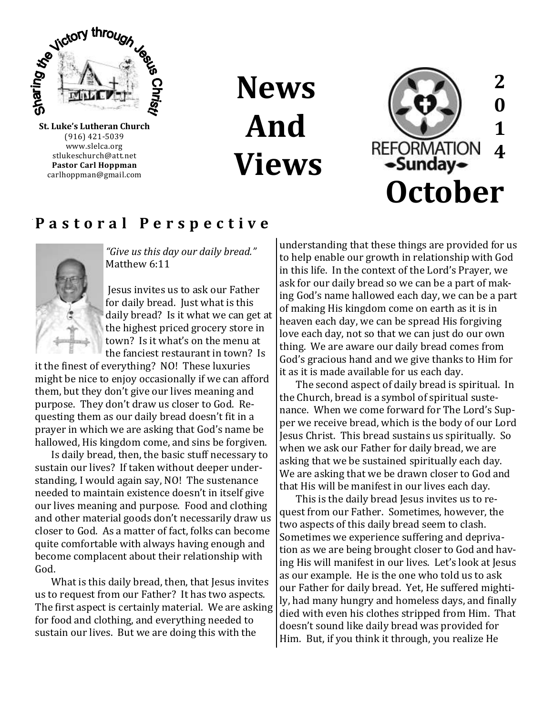

(916) 421-5039 www.slelca.org stlukeschurch@att.net **Pastor Carl Hoppman** carlhoppman@gmail.com

**News And Views**



### **P a s t o r a l P e r s p e c t i v e**



*"Give us this day our daily bread."*  Matthew 6:11

Jesus invites us to ask our Father for daily bread. Just what is this daily bread? Is it what we can get at the highest priced grocery store in town? Is it what's on the menu at the fanciest restaurant in town? Is

it the finest of everything? NO! These luxuries might be nice to enjoy occasionally if we can afford them, but they don't give our lives meaning and purpose. They don't draw us closer to God. Requesting them as our daily bread doesn't fit in a prayer in which we are asking that God's name be hallowed, His kingdom come, and sins be forgiven.

Is daily bread, then, the basic stuff necessary to sustain our lives? If taken without deeper understanding, I would again say, NO! The sustenance needed to maintain existence doesn't in itself give our lives meaning and purpose. Food and clothing and other material goods don't necessarily draw us closer to God. As a matter of fact, folks can become quite comfortable with always having enough and become complacent about their relationship with God.

What is this daily bread, then, that Jesus invites us to request from our Father? It has two aspects. The first aspect is certainly material. We are asking for food and clothing, and everything needed to sustain our lives. But we are doing this with the

understanding that these things are provided for us to help enable our growth in relationship with God in this life. In the context of the Lord's Prayer, we ask for our daily bread so we can be a part of making God's name hallowed each day, we can be a part of making His kingdom come on earth as it is in heaven each day, we can be spread His forgiving love each day, not so that we can just do our own thing. We are aware our daily bread comes from God's gracious hand and we give thanks to Him for it as it is made available for us each day.

The second aspect of daily bread is spiritual. In the Church, bread is a symbol of spiritual sustenance. When we come forward for The Lord's Supper we receive bread, which is the body of our Lord Jesus Christ. This bread sustains us spiritually. So when we ask our Father for daily bread, we are asking that we be sustained spiritually each day. We are asking that we be drawn closer to God and that His will be manifest in our lives each day.

This is the daily bread Jesus invites us to request from our Father. Sometimes, however, the two aspects of this daily bread seem to clash. Sometimes we experience suffering and deprivation as we are being brought closer to God and having His will manifest in our lives. Let's look at Jesus as our example. He is the one who told us to ask our Father for daily bread. Yet, He suffered mightily, had many hungry and homeless days, and finally died with even his clothes stripped from Him. That doesn't sound like daily bread was provided for Him. But, if you think it through, you realize He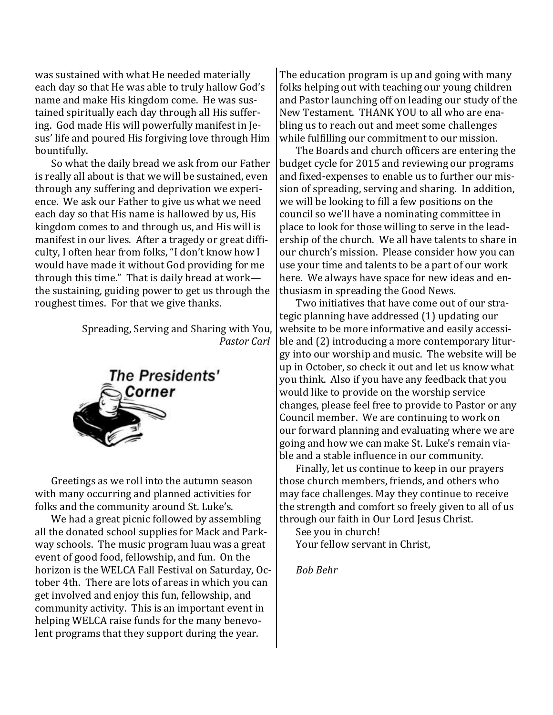was sustained with what He needed materially each day so that He was able to truly hallow God's name and make His kingdom come. He was sustained spiritually each day through all His suffering. God made His will powerfully manifest in Jesus' life and poured His forgiving love through Him bountifully.

So what the daily bread we ask from our Father is really all about is that we will be sustained, even through any suffering and deprivation we experience. We ask our Father to give us what we need each day so that His name is hallowed by us, His kingdom comes to and through us, and His will is manifest in our lives. After a tragedy or great difficulty, I often hear from folks, "I don't know how I would have made it without God providing for me through this time." That is daily bread at work the sustaining, guiding power to get us through the roughest times. For that we give thanks.

> Spreading, Serving and Sharing with You, *Pastor Carl*



Greetings as we roll into the autumn season with many occurring and planned activities for folks and the community around St. Luke's.

We had a great picnic followed by assembling all the donated school supplies for Mack and Parkway schools. The music program luau was a great event of good food, fellowship, and fun. On the horizon is the WELCA Fall Festival on Saturday, October 4th. There are lots of areas in which you can get involved and enjoy this fun, fellowship, and community activity. This is an important event in helping WELCA raise funds for the many benevolent programs that they support during the year.

The education program is up and going with many folks helping out with teaching our young children and Pastor launching off on leading our study of the New Testament. THANK YOU to all who are enabling us to reach out and meet some challenges while fulfilling our commitment to our mission.

The Boards and church officers are entering the budget cycle for 2015 and reviewing our programs and fixed-expenses to enable us to further our mission of spreading, serving and sharing. In addition, we will be looking to fill a few positions on the council so we'll have a nominating committee in place to look for those willing to serve in the leadership of the church. We all have talents to share in our church's mission. Please consider how you can use your time and talents to be a part of our work here. We always have space for new ideas and enthusiasm in spreading the Good News.

Two initiatives that have come out of our strategic planning have addressed (1) updating our website to be more informative and easily accessible and (2) introducing a more contemporary liturgy into our worship and music. The website will be up in October, so check it out and let us know what you think. Also if you have any feedback that you would like to provide on the worship service changes, please feel free to provide to Pastor or any Council member. We are continuing to work on our forward planning and evaluating where we are going and how we can make St. Luke's remain viable and a stable influence in our community.

Finally, let us continue to keep in our prayers those church members, friends, and others who may face challenges. May they continue to receive the strength and comfort so freely given to all of us through our faith in Our Lord Jesus Christ.

See you in church! Your fellow servant in Christ,

*Bob Behr*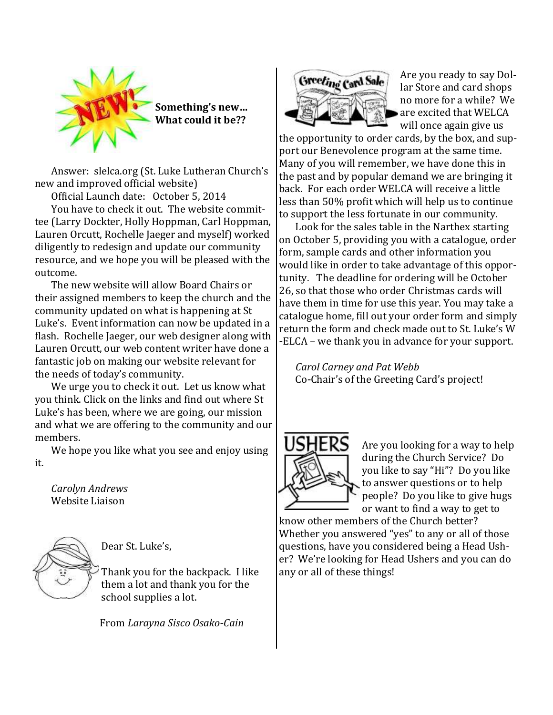

Answer: slelca.org (St. Luke Lutheran Church's new and improved official website)

Official Launch date: October 5, 2014

You have to check it out. The website committee (Larry Dockter, Holly Hoppman, Carl Hoppman, Lauren Orcutt, Rochelle Jaeger and myself) worked diligently to redesign and update our community resource, and we hope you will be pleased with the outcome.

The new website will allow Board Chairs or their assigned members to keep the church and the community updated on what is happening at St Luke's. Event information can now be updated in a flash. Rochelle Jaeger, our web designer along with Lauren Orcutt, our web content writer have done a fantastic job on making our website relevant for the needs of today's community.

We urge you to check it out. Let us know what you think. Click on the links and find out where St Luke's has been, where we are going, our mission and what we are offering to the community and our members.

We hope you like what you see and enjoy using it.

*Carolyn Andrews* Website Liaison



Dear St. Luke's,

Thank you for the backpack. I like them a lot and thank you for the school supplies a lot.

From *Larayna Sisco Osako-Cain*



Are you ready to say Dollar Store and card shops no more for a while? We are excited that WELCA will once again give us

the opportunity to order cards, by the box, and support our Benevolence program at the same time. Many of you will remember, we have done this in the past and by popular demand we are bringing it back. For each order WELCA will receive a little less than 50% profit which will help us to continue to support the less fortunate in our community.

Look for the sales table in the Narthex starting on October 5, providing you with a catalogue, order form, sample cards and other information you would like in order to take advantage of this opportunity. The deadline for ordering will be October 26, so that those who order Christmas cards will have them in time for use this year. You may take a catalogue home, fill out your order form and simply return the form and check made out to St. Luke's W -ELCA – we thank you in advance for your support.

*Carol Carney and Pat Webb*  Co-Chair's of the Greeting Card's project!



Are you looking for a way to help during the Church Service? Do you like to say "Hi"? Do you like to answer questions or to help people? Do you like to give hugs or want to find a way to get to

know other members of the Church better? Whether you answered "yes" to any or all of those questions, have you considered being a Head Usher? We're looking for Head Ushers and you can do any or all of these things!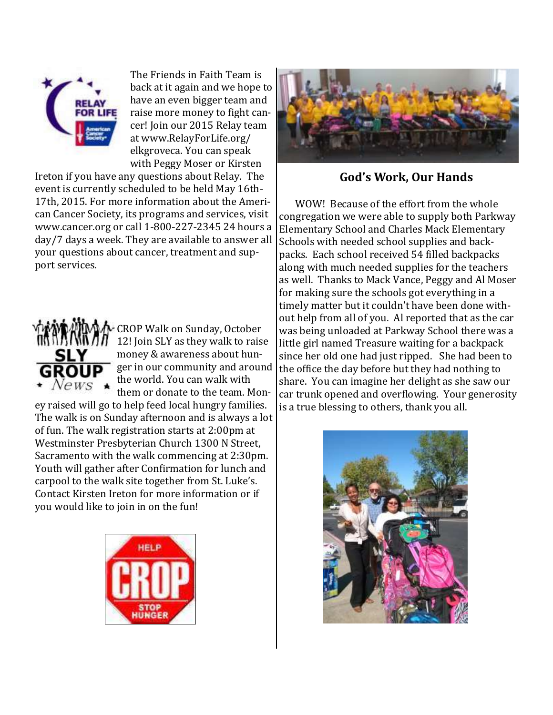

The Friends in Faith Team is back at it again and we hope to have an even bigger team and raise more money to fight cancer! Join our 2015 Relay team at www.RelayForLife.org/ elkgroveca. You can speak with Peggy Moser or Kirsten

Ireton if you have any questions about Relay. The event is currently scheduled to be held May 16th-17th, 2015. For more information about the American Cancer Society, its programs and services, visit www.cancer.org or call 1-800-227-2345 24 hours a day/7 days a week. They are available to answer all your questions about cancer, treatment and support services.



CROP Walk on Sunday, October 12! Join SLY as they walk to raise money & awareness about hunger in our community and around the world. You can walk with them or donate to the team. Mon-

ey raised will go to help feed local hungry families. The walk is on Sunday afternoon and is always a lot of fun. The walk registration starts at 2:00pm at Westminster Presbyterian Church 1300 N Street, Sacramento with the walk commencing at 2:30pm. Youth will gather after Confirmation for lunch and carpool to the walk site together from St. Luke's. Contact Kirsten Ireton for more information or if you would like to join in on the fun!





**God's Work, Our Hands**

WOW! Because of the effort from the whole congregation we were able to supply both Parkway Elementary School and Charles Mack Elementary Schools with needed school supplies and backpacks. Each school received 54 filled backpacks along with much needed supplies for the teachers as well. Thanks to Mack Vance, Peggy and Al Moser for making sure the schools got everything in a timely matter but it couldn't have been done without help from all of you. Al reported that as the car was being unloaded at Parkway School there was a little girl named Treasure waiting for a backpack since her old one had just ripped. She had been to the office the day before but they had nothing to share. You can imagine her delight as she saw our car trunk opened and overflowing. Your generosity is a true blessing to others, thank you all.

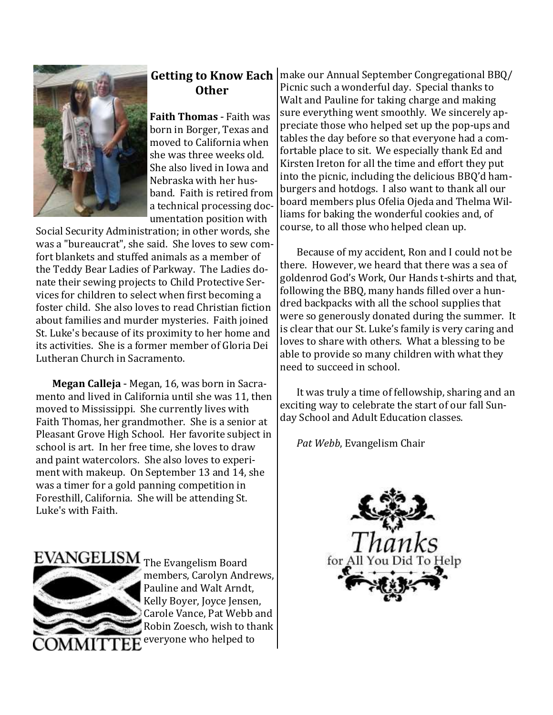

# **Other**

**Faith Thomas** - Faith was born in Borger, Texas and moved to California when she was three weeks old. She also lived in Iowa and Nebraska with her husband. Faith is retired from a technical processing documentation position with

Social Security Administration; in other words, she was a "bureaucrat", she said. She loves to sew comfort blankets and stuffed animals as a member of the Teddy Bear Ladies of Parkway. The Ladies donate their sewing projects to Child Protective Services for children to select when first becoming a foster child. She also loves to read Christian fiction about families and murder mysteries. Faith joined St. Luke's because of its proximity to her home and its activities. She is a former member of Gloria Dei Lutheran Church in Sacramento.

**Megan Calleja** - Megan, 16, was born in Sacramento and lived in California until she was 11, then moved to Mississippi. She currently lives with Faith Thomas, her grandmother. She is a senior at Pleasant Grove High School. Her favorite subject in school is art. In her free time, she loves to draw and paint watercolors. She also loves to experiment with makeup. On September 13 and 14, she was a timer for a gold panning competition in Foresthill, California. She will be attending St. Luke's with Faith.

**Getting to Know Each** | make our Annual September Congregational BBQ/ Picnic such a wonderful day. Special thanks to Walt and Pauline for taking charge and making sure everything went smoothly. We sincerely appreciate those who helped set up the pop-ups and tables the day before so that everyone had a comfortable place to sit. We especially thank Ed and Kirsten Ireton for all the time and effort they put into the picnic, including the delicious BBQ'd hamburgers and hotdogs. I also want to thank all our board members plus Ofelia Ojeda and Thelma Williams for baking the wonderful cookies and, of course, to all those who helped clean up.

> Because of my accident, Ron and I could not be there. However, we heard that there was a sea of goldenrod God's Work, Our Hands t-shirts and that, following the BBQ, many hands filled over a hundred backpacks with all the school supplies that were so generously donated during the summer. It is clear that our St. Luke's family is very caring and loves to share with others. What a blessing to be able to provide so many children with what they need to succeed in school.

> It was truly a time of fellowship, sharing and an exciting way to celebrate the start of our fall Sunday School and Adult Education classes.

*Pat Webb*, Evangelism Chair



EVANGELISM The Evangelism Board



members, Carolyn Andrews, Pauline and Walt Arndt, Kelly Boyer, Joyce Jensen, Carole Vance, Pat Webb and Robin Zoesch, wish to thank everyone who helped to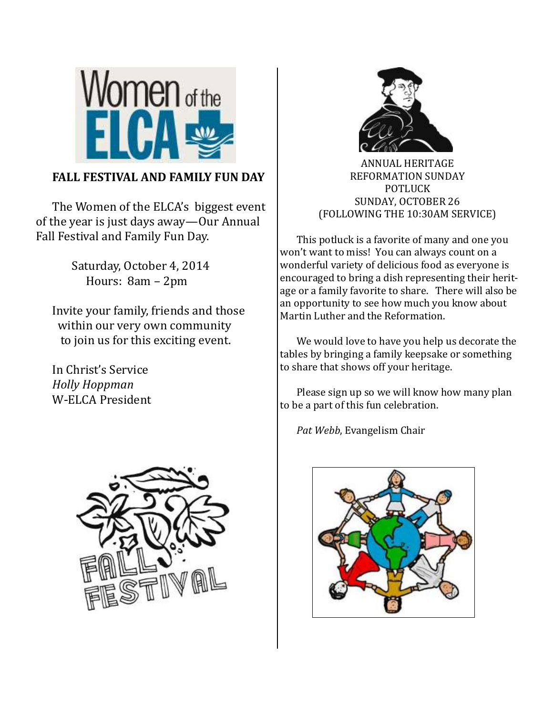

### **FALL FESTIVAL AND FAMILY FUN DAY**

The Women of the ELCA's biggest event of the year is just days away—Our Annual Fall Festival and Family Fun Day.

> Saturday, October 4, 2014 Hours: 8am – 2pm

Invite your family, friends and those within our very own community to join us for this exciting event.

In Christ's Service *Holly Hoppman* W-ELCA President





ANNUAL HERITAGE REFORMATION SUNDAY POTLUCK SUNDAY, OCTOBER 26 (FOLLOWING THE 10:30AM SERVICE)

This potluck is a favorite of many and one you won't want to miss! You can always count on a wonderful variety of delicious food as everyone is encouraged to bring a dish representing their heritage or a family favorite to share. There will also be an opportunity to see how much you know about Martin Luther and the Reformation.

We would love to have you help us decorate the tables by bringing a family keepsake or something to share that shows off your heritage.

Please sign up so we will know how many plan to be a part of this fun celebration.

*Pat Webb*, Evangelism Chair

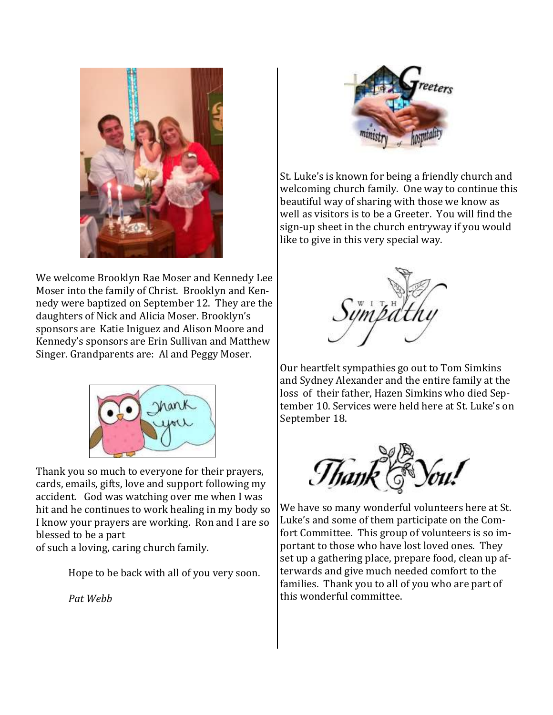

We welcome Brooklyn Rae Moser and Kennedy Lee Moser into the family of Christ. Brooklyn and Kennedy were baptized on September 12. They are the daughters of Nick and Alicia Moser. Brooklyn's sponsors are Katie Iniguez and Alison Moore and Kennedy's sponsors are Erin Sullivan and Matthew Singer. Grandparents are: Al and Peggy Moser.



Thank you so much to everyone for their prayers, cards, emails, gifts, love and support following my accident. God was watching over me when I was hit and he continues to work healing in my body so I know your prayers are working. Ron and I are so blessed to be a part

of such a loving, caring church family.

Hope to be back with all of you very soon.

*Pat Webb*



St. Luke's is known for being a friendly church and welcoming church family. One way to continue this beautiful way of sharing with those we know as well as visitors is to be a Greeter. You will find the sign-up sheet in the church entryway if you would like to give in this very special way.



Our heartfelt sympathies go out to Tom Simkins and Sydney Alexander and the entire family at the loss of their father, Hazen Simkins who died September 10. Services were held here at St. Luke's on September 18.



We have so many wonderful volunteers here at St. Luke's and some of them participate on the Comfort Committee. This group of volunteers is so important to those who have lost loved ones. They set up a gathering place, prepare food, clean up afterwards and give much needed comfort to the families. Thank you to all of you who are part of this wonderful committee.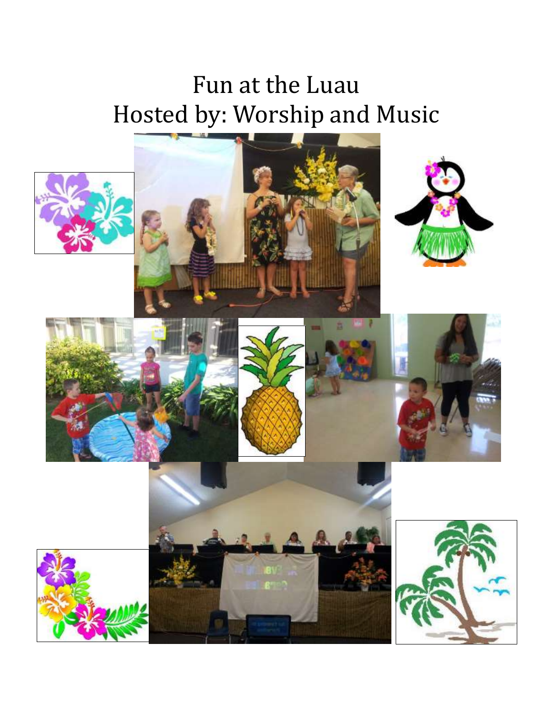# Fun at the Luau Hosted by: Worship and Music

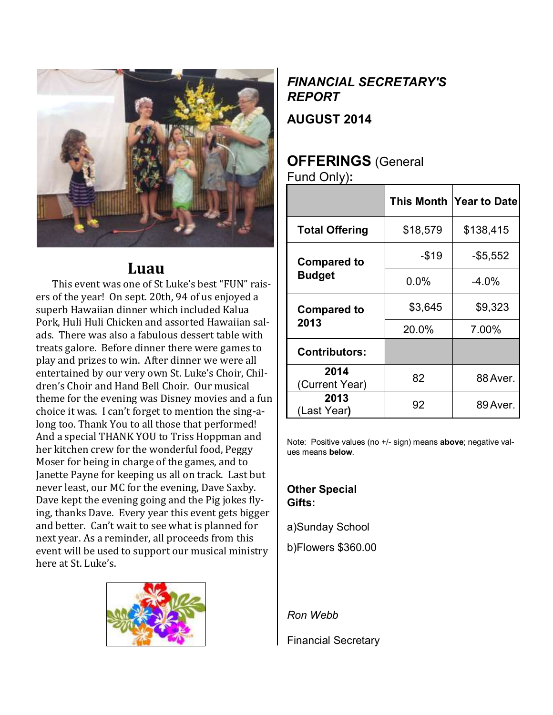

## **Luau**

This event was one of St Luke's best "FUN" raisers of the year! On sept. 20th, 94 of us enjoyed a superb Hawaiian dinner which included Kalua Pork, Huli Huli Chicken and assorted Hawaiian salads. There was also a fabulous dessert table with treats galore. Before dinner there were games to play and prizes to win. After dinner we were all entertained by our very own St. Luke's Choir, Children's Choir and Hand Bell Choir. Our musical theme for the evening was Disney movies and a fun choice it was. I can't forget to mention the sing-along too. Thank You to all those that performed! And a special THANK YOU to Triss Hoppman and her kitchen crew for the wonderful food, Peggy Moser for being in charge of the games, and to Janette Payne for keeping us all on track. Last but never least, our MC for the evening, Dave Saxby. Dave kept the evening going and the Pig jokes flying, thanks Dave. Every year this event gets bigger and better. Can't wait to see what is planned for next year. As a reminder, all proceeds from this event will be used to support our musical ministry here at St. Luke's.



# *FINANCIAL SECRETARY'S REPORT*

**AUGUST 2014**

# **OFFERINGS** (General

Fund Only)**:**

|                                     |          | This Month Year to Date |
|-------------------------------------|----------|-------------------------|
| <b>Total Offering</b>               | \$18,579 | \$138,415               |
| <b>Compared to</b><br><b>Budget</b> | $-$19$   | $-$ \$5,552             |
|                                     | $0.0\%$  | $-4.0%$                 |
| <b>Compared to</b><br>2013          | \$3,645  | \$9,323                 |
|                                     | 20.0%    | 7.00%                   |
| <b>Contributors:</b>                |          |                         |
| 2014<br>(Current Year)              | 82       | 88 Aver.                |
| 2013<br>(Last Year)                 | 92       | 89 Aver.                |

Note: Positive values (no +/- sign) means **above**; negative values means **below**.

### **Other Special Gifts:**

a)Sunday School

b)Flowers \$360.00

*Ron Webb*

Financial Secretary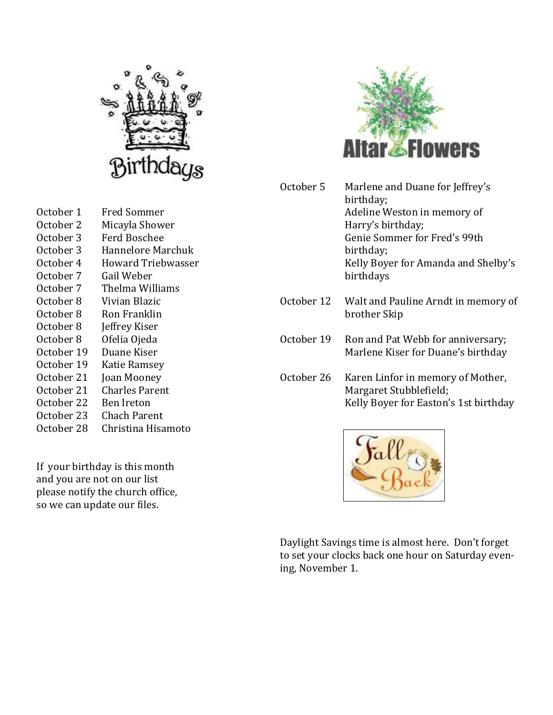

October 1 Fred Sommer October 2 Micayla Shower October 3 Ferd Boschee October 3 Hannelore Marchuk October 4 Howard Triebwasser October 7 Gail Weber October 7 Thelma Williams October 8 Vivian Blazic October 8 Ron Franklin October 8 Jeffrey Kiser October 8 Ofelia Ojeda October 19 Duane Kiser October 19 Katie Ramsey October 21 Joan Mooney October 21 Charles Parent October 22 Ben Ireton October 23 Chach Parent October 28 Christina Hisamoto

If your birthday is this month and you are not on our list please notify the church office, so we can update our files.



| October 5  | Marlene and Duane for Jeffrey's<br>birthday;<br>Adeline Weston in memory of<br>Harry's birthday;<br>Genie Sommer for Fred's 99th<br>birthday;<br>Kelly Boyer for Amanda and Shelby's<br>birthdays |
|------------|---------------------------------------------------------------------------------------------------------------------------------------------------------------------------------------------------|
| October 12 | Walt and Pauline Arndt in memory of<br>brother Skip                                                                                                                                               |
| October 19 | Ron and Pat Webb for anniversary;<br>Marlene Kiser for Duane's birthday                                                                                                                           |
| October 26 | Karen Linfor in memory of Mother,<br>Margaret Stubblefield;<br>Kelly Boyer for Easton's 1st birthday                                                                                              |



Daylight Savings time is almost here. Don't forget to set your clocks back one hour on Saturday evening, November 1.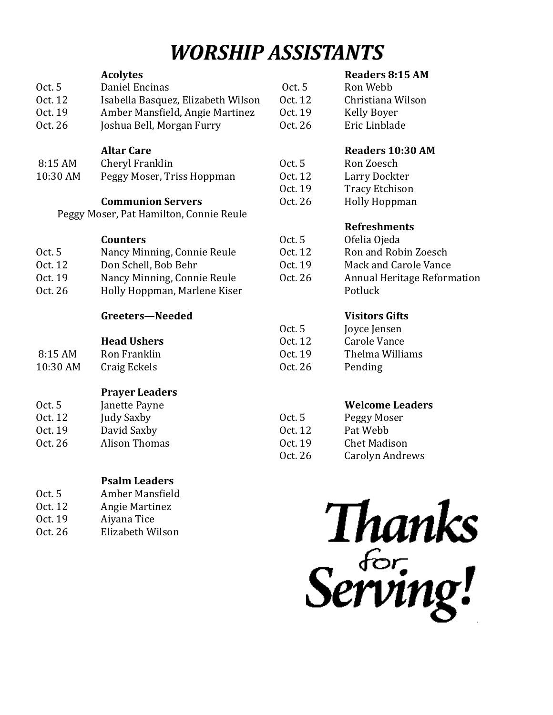# *WORSHIP ASSISTANTS*

|          | <b>Acolytes</b>                         |         | <b>Readers 8</b>  |
|----------|-----------------------------------------|---------|-------------------|
| Oct. 5   | Daniel Encinas                          | 0ct.5   | Ron Webb          |
| Oct. 12  | Isabella Basquez, Elizabeth Wilson      | Oct. 12 | Christiana        |
| Oct. 19  | Amber Mansfield, Angie Martinez         | Oct. 19 | <b>Kelly Boye</b> |
| Oct. 26  | Joshua Bell, Morgan Furry               | Oct. 26 | Eric Linbla       |
|          | <b>Altar Care</b>                       |         | <b>Readers 1</b>  |
| 8:15 AM  | Cheryl Franklin                         | Oct. 5  | Ron Zoescl        |
| 10:30 AM | Peggy Moser, Triss Hoppman              | Oct. 12 | Larry Dock        |
|          |                                         | Oct. 19 | <b>Tracy Etch</b> |
|          | <b>Communion Servers</b>                | Oct. 26 | <b>Holly Hopp</b> |
|          | Peggy Moser, Pat Hamilton, Connie Reule |         |                   |
|          |                                         |         | <b>Refreshm</b>   |
|          | <b>Counters</b>                         | Oct. 5  | Ofelia Ojed       |
| Oct. 5   | Nancy Minning, Connie Reule             | Oct. 12 | Ron and R         |
| Oct. 12  | Don Schell, Bob Behr                    | Oct. 19 | Mack and          |
| Oct. 19  | Nancy Minning, Connie Reule             | Oct. 26 | Annual He         |
| Oct. 26  | Holly Hoppman, Marlene Kiser            |         | Potluck           |
|          | Greeters-Needed                         |         | <b>Visitors G</b> |
|          |                                         | Oct. 5  | Joyce Jense       |
|          | <b>Head Ushers</b>                      | Oct. 12 | Carole Van        |
| 8:15 AM  | Ron Franklin                            | Oct. 19 | Thelma Wi         |
| 10:30 AM | Craig Eckels                            | Oct. 26 | Pending           |
|          | <b>Prayer Leaders</b>                   |         |                   |
| Oct. 5   | Janette Payne                           |         | Welcome           |
| Oct. 12  | Judy Saxby                              | Oct. 5  | Peggy Mos         |
| Oct. 19  | David Saxby                             | Oct. 12 | Pat Webb          |
| Oct. 26  | <b>Alison Thomas</b>                    | Oct. 19 | <b>Chet Madis</b> |
|          |                                         | Oct. 26 | Carolyn Ar        |
|          |                                         |         |                   |
|          |                                         |         |                   |

## **Psalm Leaders**

| 0ct. 5  | Amber Mansfield  |
|---------|------------------|
| Oct. 12 | Angie Martinez   |
| Oct. 19 | Aiyana Tice      |
| Oct. 26 | Elizabeth Wilson |

### **R**:15 AM

| Oct. $5$ | Ron Webb          |
|----------|-------------------|
| Oct. 12  | Christiana Wilson |
| Oct. 19  | Kelly Boyer       |
| Oct. 26  | Eric Linblade     |

### **0:30 AM**

Oct. 5 Ron Zoesch kter ıison pman

### **Rents**

| Oct. 5  | Ofelia Ojeda                           |
|---------|----------------------------------------|
| Oct. 12 | Ron and Robin Zoesch                   |
| Oct. 19 | Mack and Carole Vance                  |
| Oct. 26 | Annual Heritage Reformation<br>Potluck |
|         |                                        |

### **Visitors Gifts**

| Joyce Jensen    |
|-----------------|
| Carole Vance    |
| Thelma Williams |
| Pending         |
|                 |

### Leaders

| 0ct. 5  | Peggy Moser         |
|---------|---------------------|
| Oct. 12 | Pat Webb            |
| Oct. 19 | <b>Chet Madison</b> |
| Oct. 26 | Carolyn Andrews     |